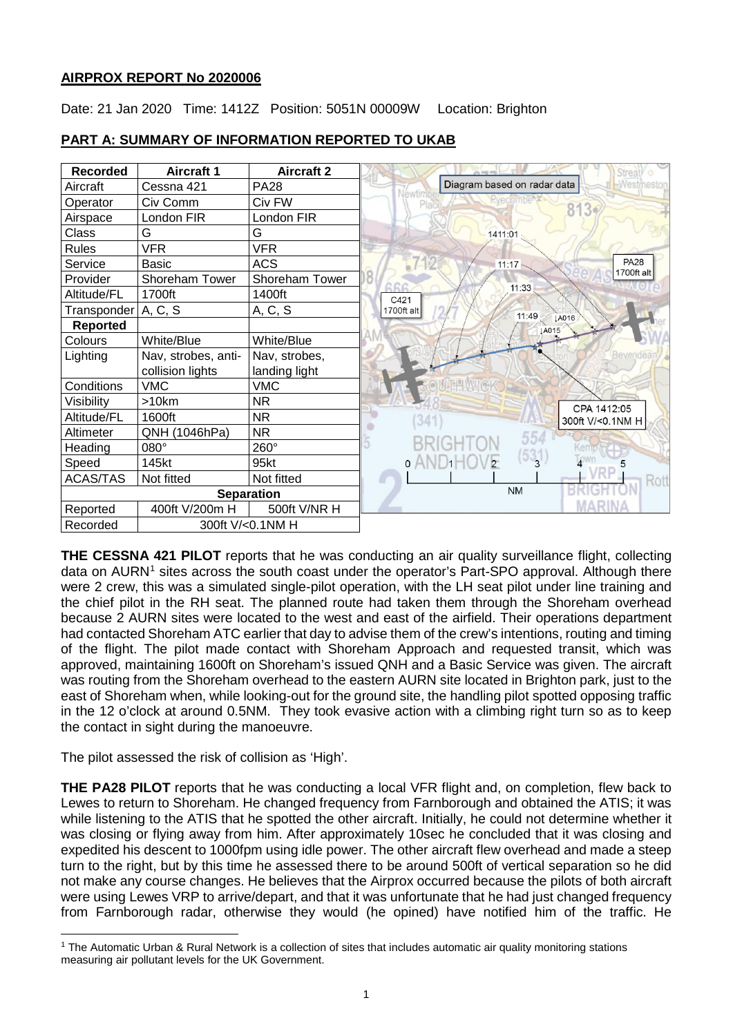# **AIRPROX REPORT No 2020006**

Date: 21 Jan 2020 Time: 1412Z Position: 5051N 00009W Location: Brighton



# **PART A: SUMMARY OF INFORMATION REPORTED TO UKAB**

**THE CESSNA 421 PILOT** reports that he was conducting an air quality surveillance flight, collecting data on AURN<sup>[1](#page-0-0)</sup> sites across the south coast under the operator's Part-SPO approval. Although there were 2 crew, this was a simulated single-pilot operation, with the LH seat pilot under line training and the chief pilot in the RH seat. The planned route had taken them through the Shoreham overhead because 2 AURN sites were located to the west and east of the airfield. Their operations department had contacted Shoreham ATC earlier that day to advise them of the crew's intentions, routing and timing of the flight. The pilot made contact with Shoreham Approach and requested transit, which was approved, maintaining 1600ft on Shoreham's issued QNH and a Basic Service was given. The aircraft was routing from the Shoreham overhead to the eastern AURN site located in Brighton park, just to the east of Shoreham when, while looking-out for the ground site, the handling pilot spotted opposing traffic in the 12 o'clock at around 0.5NM. They took evasive action with a climbing right turn so as to keep the contact in sight during the manoeuvre.

The pilot assessed the risk of collision as 'High'.

 $\overline{\phantom{a}}$ 

**THE PA28 PILOT** reports that he was conducting a local VFR flight and, on completion, flew back to Lewes to return to Shoreham. He changed frequency from Farnborough and obtained the ATIS; it was while listening to the ATIS that he spotted the other aircraft. Initially, he could not determine whether it was closing or flying away from him. After approximately 10sec he concluded that it was closing and expedited his descent to 1000fpm using idle power. The other aircraft flew overhead and made a steep turn to the right, but by this time he assessed there to be around 500ft of vertical separation so he did not make any course changes. He believes that the Airprox occurred because the pilots of both aircraft were using Lewes VRP to arrive/depart, and that it was unfortunate that he had just changed frequency from Farnborough radar, otherwise they would (he opined) have notified him of the traffic. He

<span id="page-0-0"></span><sup>&</sup>lt;sup>1</sup> The Automatic Urban & Rural Network is a collection of sites that includes automatic air quality monitoring stations measuring air pollutant levels for the UK Government.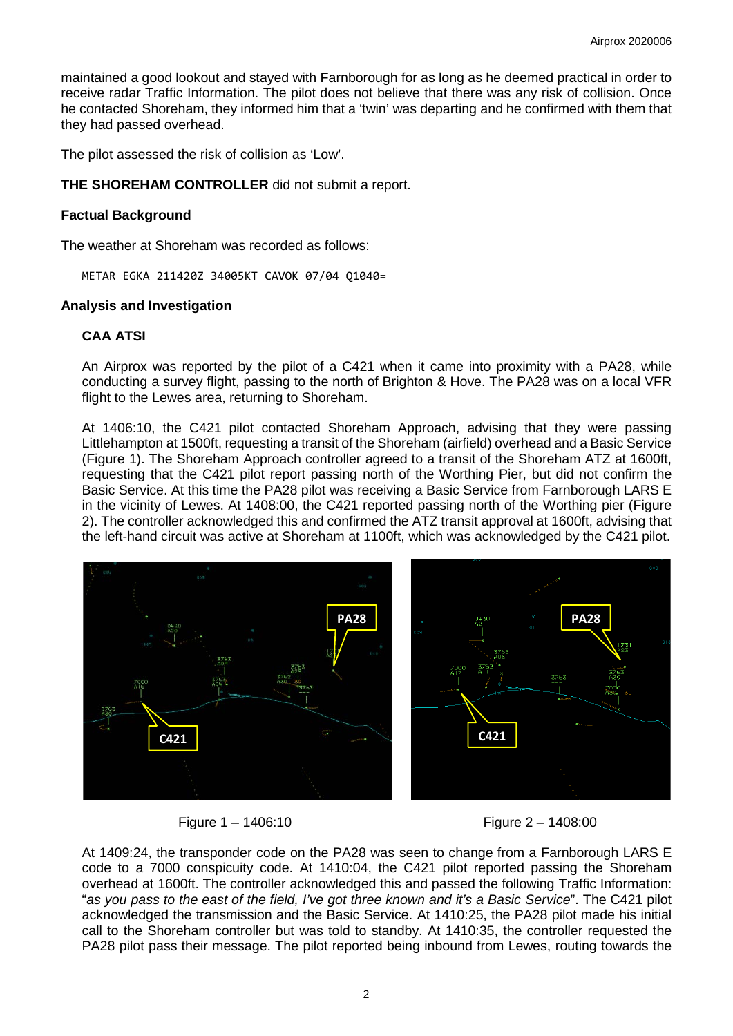maintained a good lookout and stayed with Farnborough for as long as he deemed practical in order to receive radar Traffic Information. The pilot does not believe that there was any risk of collision. Once he contacted Shoreham, they informed him that a 'twin' was departing and he confirmed with them that they had passed overhead.

The pilot assessed the risk of collision as 'Low'.

## **THE SHOREHAM CONTROLLER** did not submit a report.

## **Factual Background**

The weather at Shoreham was recorded as follows:

METAR EGKA 211420Z 34005KT CAVOK 07/04 Q1040=

#### **Analysis and Investigation**

#### **CAA ATSI**

An Airprox was reported by the pilot of a C421 when it came into proximity with a PA28, while conducting a survey flight, passing to the north of Brighton & Hove. The PA28 was on a local VFR flight to the Lewes area, returning to Shoreham.

At 1406:10, the C421 pilot contacted Shoreham Approach, advising that they were passing Littlehampton at 1500ft, requesting a transit of the Shoreham (airfield) overhead and a Basic Service (Figure 1). The Shoreham Approach controller agreed to a transit of the Shoreham ATZ at 1600ft, requesting that the C421 pilot report passing north of the Worthing Pier, but did not confirm the Basic Service. At this time the PA28 pilot was receiving a Basic Service from Farnborough LARS E in the vicinity of Lewes. At 1408:00, the C421 reported passing north of the Worthing pier (Figure 2). The controller acknowledged this and confirmed the ATZ transit approval at 1600ft, advising that the left-hand circuit was active at Shoreham at 1100ft, which was acknowledged by the C421 pilot.



Figure 1 – 1406:10 Figure 2 – 1408:00

At 1409:24, the transponder code on the PA28 was seen to change from a Farnborough LARS E code to a 7000 conspicuity code. At 1410:04, the C421 pilot reported passing the Shoreham overhead at 1600ft. The controller acknowledged this and passed the following Traffic Information: "*as you pass to the east of the field, I've got three known and it's a Basic Service*". The C421 pilot acknowledged the transmission and the Basic Service. At 1410:25, the PA28 pilot made his initial call to the Shoreham controller but was told to standby. At 1410:35, the controller requested the PA28 pilot pass their message. The pilot reported being inbound from Lewes, routing towards the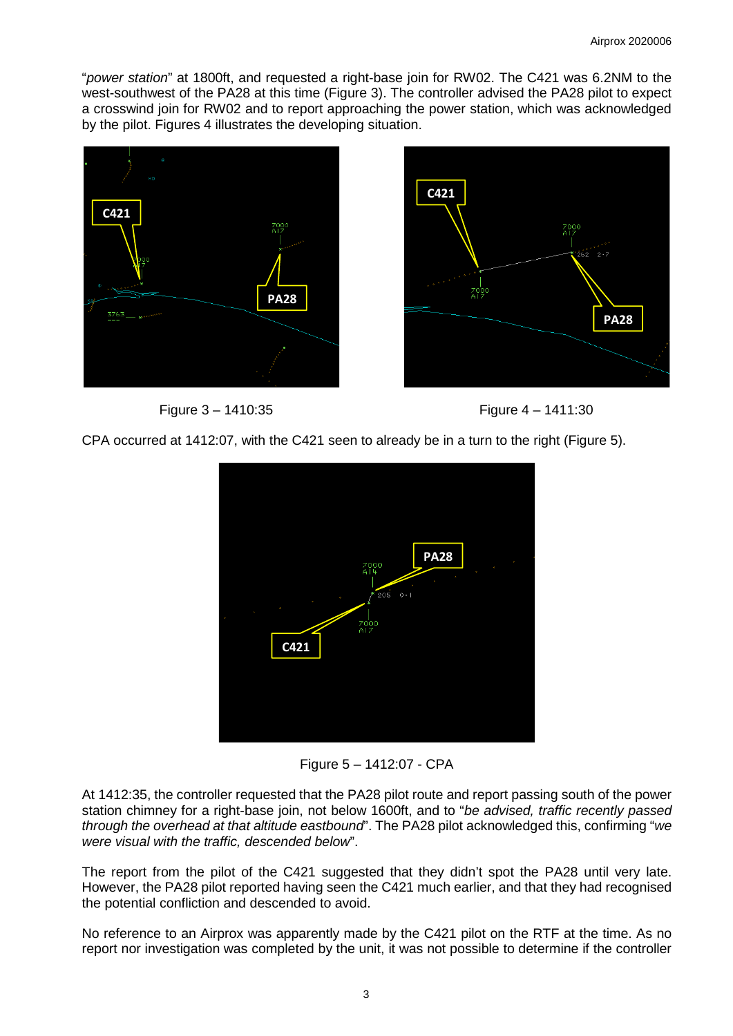"*power station*" at 1800ft, and requested a right-base join for RW02. The C421 was 6.2NM to the west-southwest of the PA28 at this time (Figure 3). The controller advised the PA28 pilot to expect a crosswind join for RW02 and to report approaching the power station, which was acknowledged by the pilot. Figures 4 illustrates the developing situation.









CPA occurred at 1412:07, with the C421 seen to already be in a turn to the right (Figure 5).



Figure 5 – 1412:07 - CPA

At 1412:35, the controller requested that the PA28 pilot route and report passing south of the power station chimney for a right-base join, not below 1600ft, and to "*be advised, traffic recently passed through the overhead at that altitude eastbound*". The PA28 pilot acknowledged this, confirming "*we were visual with the traffic, descended below*".

The report from the pilot of the C421 suggested that they didn't spot the PA28 until very late. However, the PA28 pilot reported having seen the C421 much earlier, and that they had recognised the potential confliction and descended to avoid.

No reference to an Airprox was apparently made by the C421 pilot on the RTF at the time. As no report nor investigation was completed by the unit, it was not possible to determine if the controller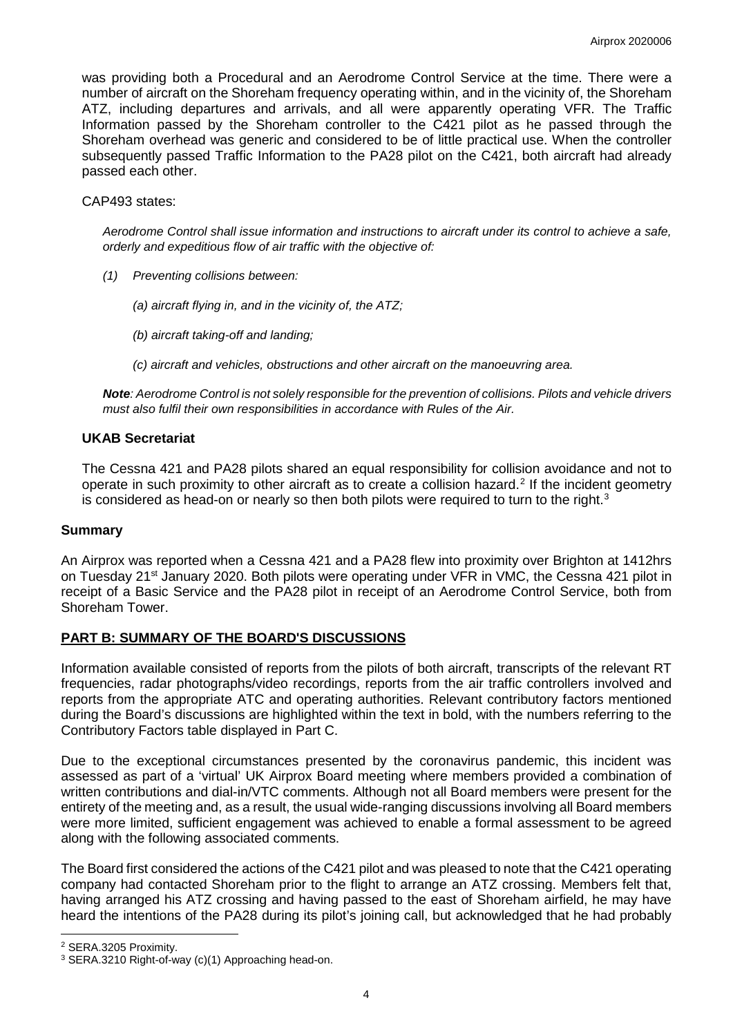was providing both a Procedural and an Aerodrome Control Service at the time. There were a number of aircraft on the Shoreham frequency operating within, and in the vicinity of, the Shoreham ATZ, including departures and arrivals, and all were apparently operating VFR. The Traffic Information passed by the Shoreham controller to the C421 pilot as he passed through the Shoreham overhead was generic and considered to be of little practical use. When the controller subsequently passed Traffic Information to the PA28 pilot on the C421, both aircraft had already passed each other.

CAP493 states:

*Aerodrome Control shall issue information and instructions to aircraft under its control to achieve a safe, orderly and expeditious flow of air traffic with the objective of:* 

- *(1) Preventing collisions between:* 
	- *(a) aircraft flying in, and in the vicinity of, the ATZ;*
	- *(b) aircraft taking-off and landing;*
	- *(c) aircraft and vehicles, obstructions and other aircraft on the manoeuvring area.*

*Note: Aerodrome Control is not solely responsible for the prevention of collisions. Pilots and vehicle drivers must also fulfil their own responsibilities in accordance with Rules of the Air.*

#### **UKAB Secretariat**

The Cessna 421 and PA28 pilots shared an equal responsibility for collision avoidance and not to operate in such proximity to other aircraft as to create a collision hazard.<sup>[2](#page-3-0)</sup> If the incident geometry is considered as head-on or nearly so then both pilots were required to turn to the right.<sup>[3](#page-3-1)</sup>

# **Summary**

An Airprox was reported when a Cessna 421 and a PA28 flew into proximity over Brighton at 1412hrs on Tuesday 21<sup>st</sup> January 2020. Both pilots were operating under VFR in VMC, the Cessna 421 pilot in receipt of a Basic Service and the PA28 pilot in receipt of an Aerodrome Control Service, both from Shoreham Tower.

# **PART B: SUMMARY OF THE BOARD'S DISCUSSIONS**

Information available consisted of reports from the pilots of both aircraft, transcripts of the relevant RT frequencies, radar photographs/video recordings, reports from the air traffic controllers involved and reports from the appropriate ATC and operating authorities. Relevant contributory factors mentioned during the Board's discussions are highlighted within the text in bold, with the numbers referring to the Contributory Factors table displayed in Part C.

Due to the exceptional circumstances presented by the coronavirus pandemic, this incident was assessed as part of a 'virtual' UK Airprox Board meeting where members provided a combination of written contributions and dial-in/VTC comments. Although not all Board members were present for the entirety of the meeting and, as a result, the usual wide-ranging discussions involving all Board members were more limited, sufficient engagement was achieved to enable a formal assessment to be agreed along with the following associated comments.

The Board first considered the actions of the C421 pilot and was pleased to note that the C421 operating company had contacted Shoreham prior to the flight to arrange an ATZ crossing. Members felt that, having arranged his ATZ crossing and having passed to the east of Shoreham airfield, he may have heard the intentions of the PA28 during its pilot's joining call, but acknowledged that he had probably

<span id="page-3-0"></span> $\overline{\phantom{a}}$ <sup>2</sup> SERA.3205 Proximity.

<span id="page-3-1"></span><sup>3</sup> SERA.3210 Right-of-way (c)(1) Approaching head-on.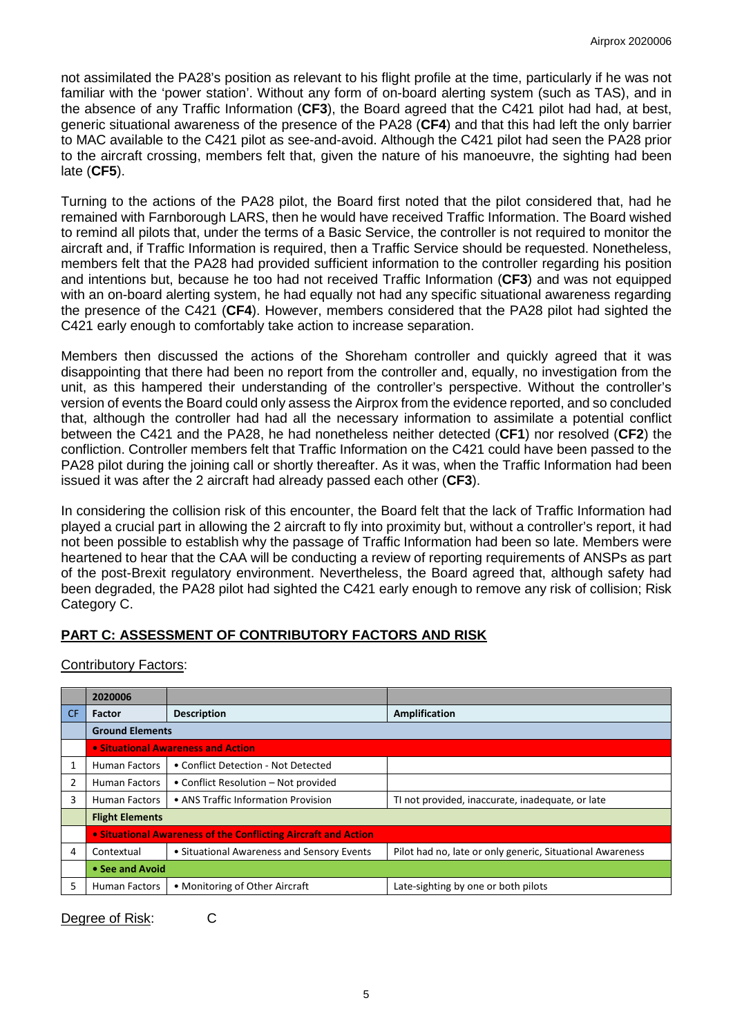not assimilated the PA28's position as relevant to his flight profile at the time, particularly if he was not familiar with the 'power station'. Without any form of on-board alerting system (such as TAS), and in the absence of any Traffic Information (**CF3**), the Board agreed that the C421 pilot had had, at best, generic situational awareness of the presence of the PA28 (**CF4**) and that this had left the only barrier to MAC available to the C421 pilot as see-and-avoid. Although the C421 pilot had seen the PA28 prior to the aircraft crossing, members felt that, given the nature of his manoeuvre, the sighting had been late (**CF5**).

Turning to the actions of the PA28 pilot, the Board first noted that the pilot considered that, had he remained with Farnborough LARS, then he would have received Traffic Information. The Board wished to remind all pilots that, under the terms of a Basic Service, the controller is not required to monitor the aircraft and, if Traffic Information is required, then a Traffic Service should be requested. Nonetheless, members felt that the PA28 had provided sufficient information to the controller regarding his position and intentions but, because he too had not received Traffic Information (**CF3**) and was not equipped with an on-board alerting system, he had equally not had any specific situational awareness regarding the presence of the C421 (**CF4**). However, members considered that the PA28 pilot had sighted the C421 early enough to comfortably take action to increase separation.

Members then discussed the actions of the Shoreham controller and quickly agreed that it was disappointing that there had been no report from the controller and, equally, no investigation from the unit, as this hampered their understanding of the controller's perspective. Without the controller's version of events the Board could only assess the Airprox from the evidence reported, and so concluded that, although the controller had had all the necessary information to assimilate a potential conflict between the C421 and the PA28, he had nonetheless neither detected (**CF1**) nor resolved (**CF2**) the confliction. Controller members felt that Traffic Information on the C421 could have been passed to the PA28 pilot during the joining call or shortly thereafter. As it was, when the Traffic Information had been issued it was after the 2 aircraft had already passed each other (**CF3**).

In considering the collision risk of this encounter, the Board felt that the lack of Traffic Information had played a crucial part in allowing the 2 aircraft to fly into proximity but, without a controller's report, it had not been possible to establish why the passage of Traffic Information had been so late. Members were heartened to hear that the CAA will be conducting a review of reporting requirements of ANSPs as part of the post-Brexit regulatory environment. Nevertheless, the Board agreed that, although safety had been degraded, the PA28 pilot had sighted the C421 early enough to remove any risk of collision; Risk Category C.

# **PART C: ASSESSMENT OF CONTRIBUTORY FACTORS AND RISK**

|           | 2020006                                                        |                                            |                                                           |
|-----------|----------------------------------------------------------------|--------------------------------------------|-----------------------------------------------------------|
| <b>CF</b> | <b>Factor</b>                                                  | <b>Description</b>                         | Amplification                                             |
|           | <b>Ground Elements</b>                                         |                                            |                                                           |
|           | • Situational Awareness and Action                             |                                            |                                                           |
|           | Human Factors                                                  | • Conflict Detection - Not Detected        |                                                           |
|           | Human Factors                                                  | • Conflict Resolution – Not provided       |                                                           |
| 3         | <b>Human Factors</b>                                           | • ANS Traffic Information Provision        | TI not provided, inaccurate, inadequate, or late          |
|           | <b>Flight Elements</b>                                         |                                            |                                                           |
|           | • Situational Awareness of the Conflicting Aircraft and Action |                                            |                                                           |
| 4         | Contextual                                                     | • Situational Awareness and Sensory Events | Pilot had no, late or only generic, Situational Awareness |
|           | • See and Avoid                                                |                                            |                                                           |
| 5         | <b>Human Factors</b>                                           | • Monitoring of Other Aircraft             | Late-sighting by one or both pilots                       |

# Contributory Factors:

Degree of Risk: C